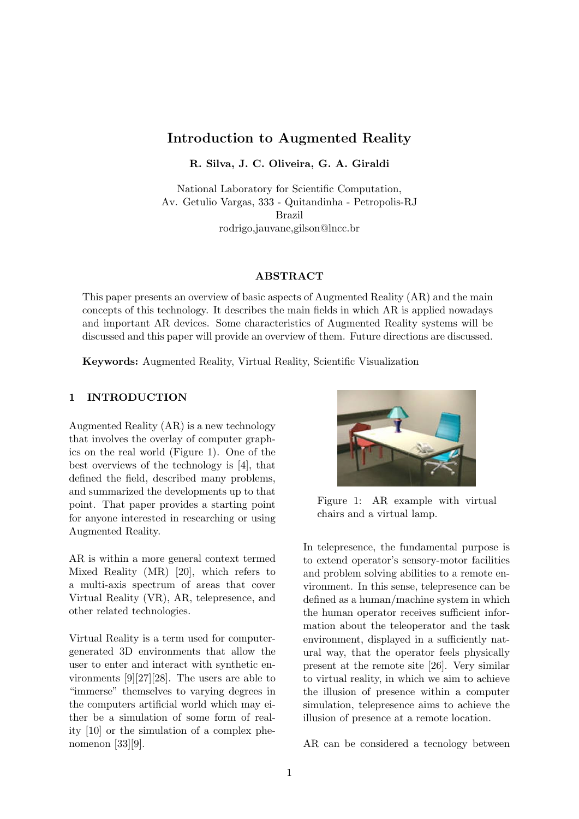# Introduction to Augmented Reality

R. Silva, J. C. Oliveira, G. A. Giraldi

National Laboratory for Scientific Computation, Av. Getulio Vargas, 333 - Quitandinha - Petropolis-RJ Brazil rodrigo,jauvane,gilson@lncc.br

#### ABSTRACT

This paper presents an overview of basic aspects of Augmented Reality (AR) and the main concepts of this technology. It describes the main fields in which AR is applied nowadays and important AR devices. Some characteristics of Augmented Reality systems will be discussed and this paper will provide an overview of them. Future directions are discussed.

Keywords: Augmented Reality, Virtual Reality, Scientific Visualization

#### 1 INTRODUCTION

Augmented Reality (AR) is a new technology that involves the overlay of computer graphics on the real world (Figure 1). One of the best overviews of the technology is [4], that defined the field, described many problems, and summarized the developments up to that point. That paper provides a starting point for anyone interested in researching or using Augmented Reality.

AR is within a more general context termed Mixed Reality (MR) [20], which refers to a multi-axis spectrum of areas that cover Virtual Reality (VR), AR, telepresence, and other related technologies.

Virtual Reality is a term used for computergenerated 3D environments that allow the user to enter and interact with synthetic environments [9][27][28]. The users are able to "immerse" themselves to varying degrees in the computers artificial world which may either be a simulation of some form of reality [10] or the simulation of a complex phenomenon [33][9].



Figure 1: AR example with virtual chairs and a virtual lamp.

In telepresence, the fundamental purpose is to extend operator's sensory-motor facilities and problem solving abilities to a remote environment. In this sense, telepresence can be defined as a human/machine system in which the human operator receives sufficient information about the teleoperator and the task environment, displayed in a sufficiently natural way, that the operator feels physically present at the remote site [26]. Very similar to virtual reality, in which we aim to achieve the illusion of presence within a computer simulation, telepresence aims to achieve the illusion of presence at a remote location.

AR can be considered a tecnology between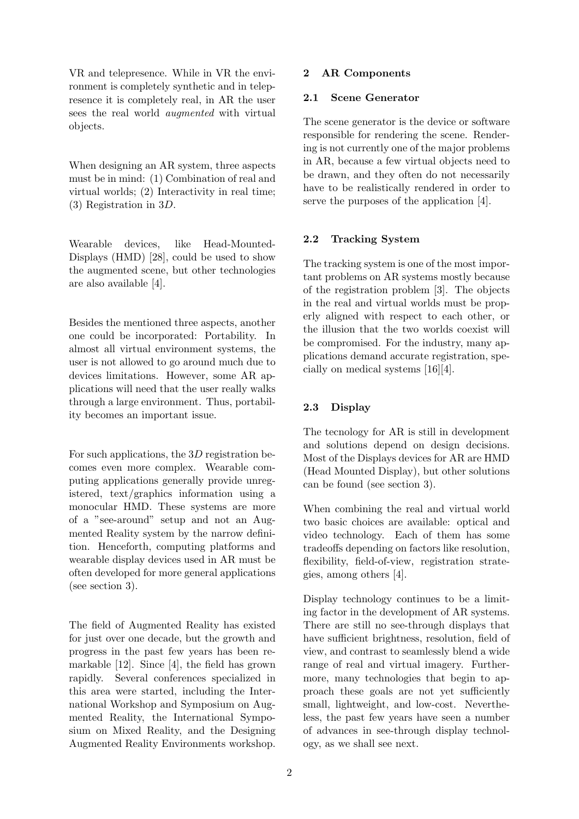VR and telepresence. While in VR the environment is completely synthetic and in telepresence it is completely real, in AR the user sees the real world augmented with virtual objects.

When designing an AR system, three aspects must be in mind: (1) Combination of real and virtual worlds; (2) Interactivity in real time; (3) Registration in 3D.

Wearable devices, like Head-Mounted-Displays (HMD) [28], could be used to show the augmented scene, but other technologies are also available [4].

Besides the mentioned three aspects, another one could be incorporated: Portability. In almost all virtual environment systems, the user is not allowed to go around much due to devices limitations. However, some AR applications will need that the user really walks through a large environment. Thus, portability becomes an important issue.

For such applications, the 3D registration becomes even more complex. Wearable computing applications generally provide unregistered, text/graphics information using a monocular HMD. These systems are more of a "see-around" setup and not an Augmented Reality system by the narrow definition. Henceforth, computing platforms and wearable display devices used in AR must be often developed for more general applications (see section 3).

The field of Augmented Reality has existed for just over one decade, but the growth and progress in the past few years has been remarkable [12]. Since [4], the field has grown rapidly. Several conferences specialized in this area were started, including the International Workshop and Symposium on Augmented Reality, the International Symposium on Mixed Reality, and the Designing Augmented Reality Environments workshop.

## 2 AR Components

#### 2.1 Scene Generator

The scene generator is the device or software responsible for rendering the scene. Rendering is not currently one of the major problems in AR, because a few virtual objects need to be drawn, and they often do not necessarily have to be realistically rendered in order to serve the purposes of the application [4].

## 2.2 Tracking System

The tracking system is one of the most important problems on AR systems mostly because of the registration problem [3]. The objects in the real and virtual worlds must be properly aligned with respect to each other, or the illusion that the two worlds coexist will be compromised. For the industry, many applications demand accurate registration, specially on medical systems [16][4].

# 2.3 Display

The tecnology for AR is still in development and solutions depend on design decisions. Most of the Displays devices for AR are HMD (Head Mounted Display), but other solutions can be found (see section 3).

When combining the real and virtual world two basic choices are available: optical and video technology. Each of them has some tradeoffs depending on factors like resolution, flexibility, field-of-view, registration strategies, among others [4].

Display technology continues to be a limiting factor in the development of AR systems. There are still no see-through displays that have sufficient brightness, resolution, field of view, and contrast to seamlessly blend a wide range of real and virtual imagery. Furthermore, many technologies that begin to approach these goals are not yet sufficiently small, lightweight, and low-cost. Nevertheless, the past few years have seen a number of advances in see-through display technology, as we shall see next.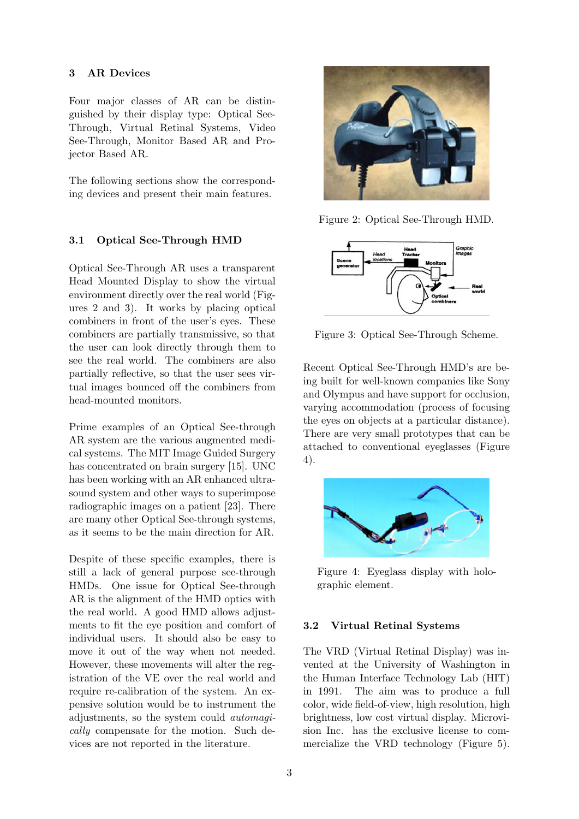#### 3 AR Devices

Four major classes of AR can be distinguished by their display type: Optical See-Through, Virtual Retinal Systems, Video See-Through, Monitor Based AR and Projector Based AR.

The following sections show the corresponding devices and present their main features.

### 3.1 Optical See-Through HMD

Optical See-Through AR uses a transparent Head Mounted Display to show the virtual environment directly over the real world (Figures 2 and 3). It works by placing optical combiners in front of the user's eyes. These combiners are partially transmissive, so that the user can look directly through them to see the real world. The combiners are also partially reflective, so that the user sees virtual images bounced off the combiners from head-mounted monitors.

Prime examples of an Optical See-through AR system are the various augmented medical systems. The MIT Image Guided Surgery has concentrated on brain surgery [15]. UNC has been working with an AR enhanced ultrasound system and other ways to superimpose radiographic images on a patient [23]. There are many other Optical See-through systems, as it seems to be the main direction for AR.

Despite of these specific examples, there is still a lack of general purpose see-through HMDs. One issue for Optical See-through AR is the alignment of the HMD optics with the real world. A good HMD allows adjustments to fit the eye position and comfort of individual users. It should also be easy to move it out of the way when not needed. However, these movements will alter the registration of the VE over the real world and require re-calibration of the system. An expensive solution would be to instrument the adjustments, so the system could automagically compensate for the motion. Such devices are not reported in the literature.



Figure 2: Optical See-Through HMD.



Figure 3: Optical See-Through Scheme.

Recent Optical See-Through HMD's are being built for well-known companies like Sony and Olympus and have support for occlusion, varying accommodation (process of focusing the eyes on objects at a particular distance). There are very small prototypes that can be attached to conventional eyeglasses (Figure 4).



Figure 4: Eyeglass display with holographic element.

# 3.2 Virtual Retinal Systems

The VRD (Virtual Retinal Display) was invented at the University of Washington in the Human Interface Technology Lab (HIT) in 1991. The aim was to produce a full color, wide field-of-view, high resolution, high brightness, low cost virtual display. Microvision Inc. has the exclusive license to commercialize the VRD technology (Figure 5).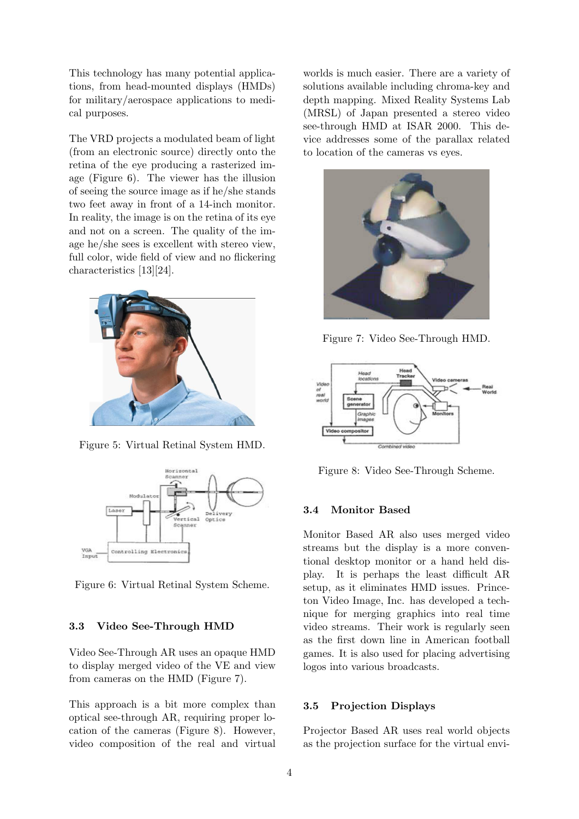This technology has many potential applications, from head-mounted displays (HMDs) for military/aerospace applications to medical purposes.

The VRD projects a modulated beam of light (from an electronic source) directly onto the retina of the eye producing a rasterized image (Figure 6). The viewer has the illusion of seeing the source image as if he/she stands two feet away in front of a 14-inch monitor. In reality, the image is on the retina of its eye and not on a screen. The quality of the image he/she sees is excellent with stereo view, full color, wide field of view and no flickering characteristics [13][24].



Figure 5: Virtual Retinal System HMD.



Figure 6: Virtual Retinal System Scheme.

#### 3.3 Video See-Through HMD

Video See-Through AR uses an opaque HMD to display merged video of the VE and view from cameras on the HMD (Figure 7).

This approach is a bit more complex than optical see-through AR, requiring proper location of the cameras (Figure 8). However, video composition of the real and virtual worlds is much easier. There are a variety of solutions available including chroma-key and depth mapping. Mixed Reality Systems Lab (MRSL) of Japan presented a stereo video see-through HMD at ISAR 2000. This device addresses some of the parallax related to location of the cameras vs eyes.



Figure 7: Video See-Through HMD.



Figure 8: Video See-Through Scheme.

#### 3.4 Monitor Based

Monitor Based AR also uses merged video streams but the display is a more conventional desktop monitor or a hand held display. It is perhaps the least difficult AR setup, as it eliminates HMD issues. Princeton Video Image, Inc. has developed a technique for merging graphics into real time video streams. Their work is regularly seen as the first down line in American football games. It is also used for placing advertising logos into various broadcasts.

#### 3.5 Projection Displays

Projector Based AR uses real world objects as the projection surface for the virtual envi-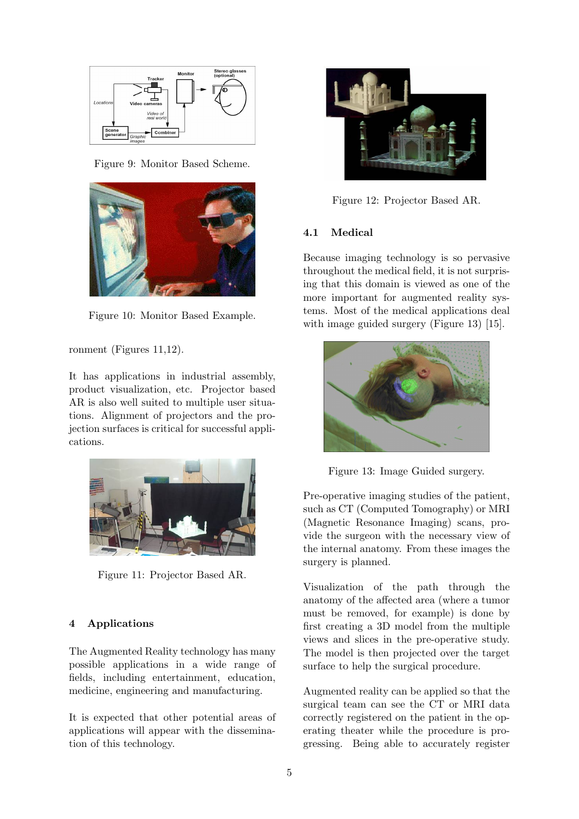

Figure 9: Monitor Based Scheme.



Figure 10: Monitor Based Example.

ronment (Figures 11,12).

It has applications in industrial assembly, product visualization, etc. Projector based AR is also well suited to multiple user situations. Alignment of projectors and the projection surfaces is critical for successful applications.



Figure 11: Projector Based AR.

# 4 Applications

The Augmented Reality technology has many possible applications in a wide range of fields, including entertainment, education, medicine, engineering and manufacturing.

It is expected that other potential areas of applications will appear with the dissemination of this technology.



Figure 12: Projector Based AR.

# 4.1 Medical

Because imaging technology is so pervasive throughout the medical field, it is not surprising that this domain is viewed as one of the more important for augmented reality systems. Most of the medical applications deal with image guided surgery (Figure 13) [15].



Figure 13: Image Guided surgery.

Pre-operative imaging studies of the patient, such as CT (Computed Tomography) or MRI (Magnetic Resonance Imaging) scans, provide the surgeon with the necessary view of the internal anatomy. From these images the surgery is planned.

Visualization of the path through the anatomy of the affected area (where a tumor must be removed, for example) is done by first creating a 3D model from the multiple views and slices in the pre-operative study. The model is then projected over the target surface to help the surgical procedure.

Augmented reality can be applied so that the surgical team can see the CT or MRI data correctly registered on the patient in the operating theater while the procedure is progressing. Being able to accurately register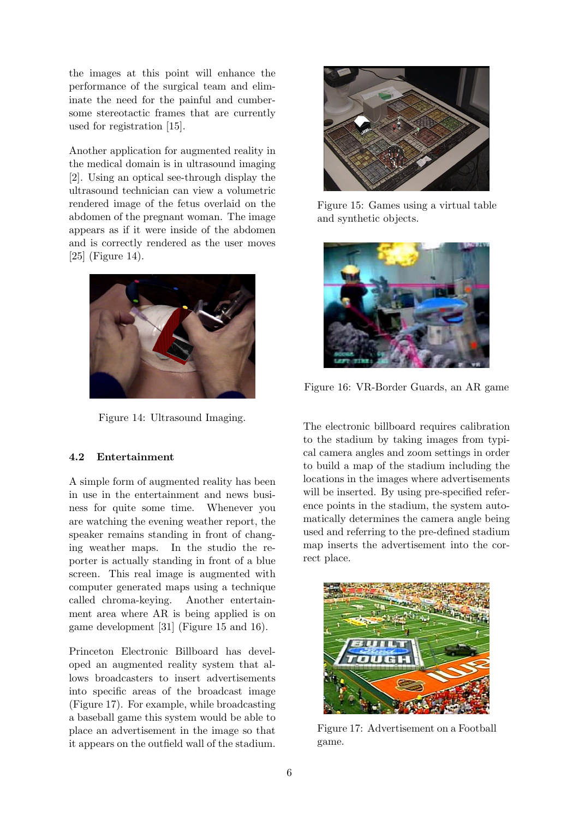the images at this point will enhance the performance of the surgical team and eliminate the need for the painful and cumbersome stereotactic frames that are currently used for registration [15].

Another application for augmented reality in the medical domain is in ultrasound imaging [2]. Using an optical see-through display the ultrasound technician can view a volumetric rendered image of the fetus overlaid on the abdomen of the pregnant woman. The image appears as if it were inside of the abdomen and is correctly rendered as the user moves [25] (Figure 14).



Figure 14: Ultrasound Imaging.

### 4.2 Entertainment

A simple form of augmented reality has been in use in the entertainment and news business for quite some time. Whenever you are watching the evening weather report, the speaker remains standing in front of changing weather maps. In the studio the reporter is actually standing in front of a blue screen. This real image is augmented with computer generated maps using a technique called chroma-keying. Another entertainment area where AR is being applied is on game development [31] (Figure 15 and 16).

Princeton Electronic Billboard has developed an augmented reality system that allows broadcasters to insert advertisements into specific areas of the broadcast image (Figure 17). For example, while broadcasting a baseball game this system would be able to place an advertisement in the image so that it appears on the outfield wall of the stadium.



Figure 15: Games using a virtual table and synthetic objects.



Figure 16: VR-Border Guards, an AR game

The electronic billboard requires calibration to the stadium by taking images from typical camera angles and zoom settings in order to build a map of the stadium including the locations in the images where advertisements will be inserted. By using pre-specified reference points in the stadium, the system automatically determines the camera angle being used and referring to the pre-defined stadium map inserts the advertisement into the correct place.



Figure 17: Advertisement on a Football game.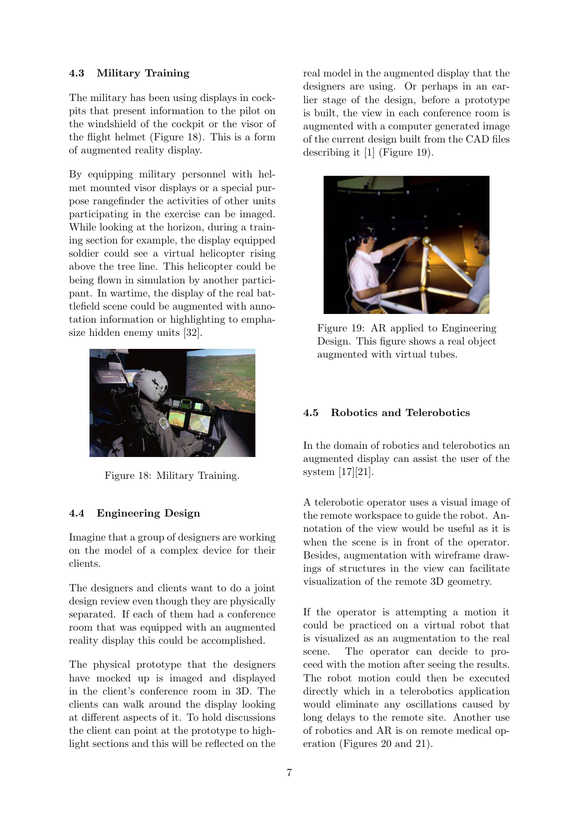## 4.3 Military Training

The military has been using displays in cockpits that present information to the pilot on the windshield of the cockpit or the visor of the flight helmet (Figure 18). This is a form of augmented reality display.

By equipping military personnel with helmet mounted visor displays or a special purpose rangefinder the activities of other units participating in the exercise can be imaged. While looking at the horizon, during a training section for example, the display equipped soldier could see a virtual helicopter rising above the tree line. This helicopter could be being flown in simulation by another participant. In wartime, the display of the real battlefield scene could be augmented with annotation information or highlighting to emphasize hidden enemy units [32].



Figure 18: Military Training.

# 4.4 Engineering Design

Imagine that a group of designers are working on the model of a complex device for their clients.

The designers and clients want to do a joint design review even though they are physically separated. If each of them had a conference room that was equipped with an augmented reality display this could be accomplished.

The physical prototype that the designers have mocked up is imaged and displayed in the client's conference room in 3D. The clients can walk around the display looking at different aspects of it. To hold discussions the client can point at the prototype to highlight sections and this will be reflected on the real model in the augmented display that the designers are using. Or perhaps in an earlier stage of the design, before a prototype is built, the view in each conference room is augmented with a computer generated image of the current design built from the CAD files describing it [1] (Figure 19).



Figure 19: AR applied to Engineering Design. This figure shows a real object augmented with virtual tubes.

# 4.5 Robotics and Telerobotics

In the domain of robotics and telerobotics an augmented display can assist the user of the system [17][21].

A telerobotic operator uses a visual image of the remote workspace to guide the robot. Annotation of the view would be useful as it is when the scene is in front of the operator. Besides, augmentation with wireframe drawings of structures in the view can facilitate visualization of the remote 3D geometry.

If the operator is attempting a motion it could be practiced on a virtual robot that is visualized as an augmentation to the real scene. The operator can decide to proceed with the motion after seeing the results. The robot motion could then be executed directly which in a telerobotics application would eliminate any oscillations caused by long delays to the remote site. Another use of robotics and AR is on remote medical operation (Figures 20 and 21).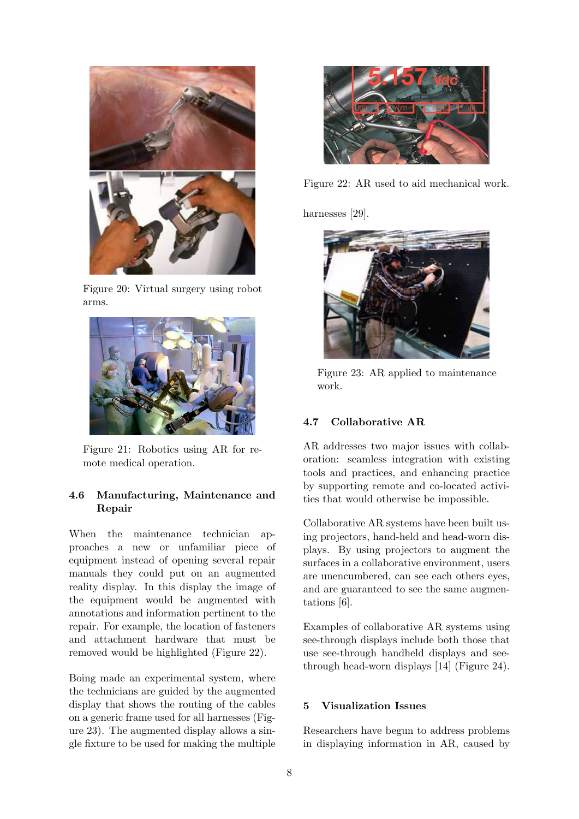

Figure 20: Virtual surgery using robot arms.



Figure 21: Robotics using AR for remote medical operation.

## 4.6 Manufacturing, Maintenance and Repair

When the maintenance technician approaches a new or unfamiliar piece of equipment instead of opening several repair manuals they could put on an augmented reality display. In this display the image of the equipment would be augmented with annotations and information pertinent to the repair. For example, the location of fasteners and attachment hardware that must be removed would be highlighted (Figure 22).

Boing made an experimental system, where the technicians are guided by the augmented display that shows the routing of the cables on a generic frame used for all harnesses (Figure 23). The augmented display allows a single fixture to be used for making the multiple



Figure 22: AR used to aid mechanical work.

harnesses [29].



Figure 23: AR applied to maintenance work.

# 4.7 Collaborative AR

AR addresses two major issues with collaboration: seamless integration with existing tools and practices, and enhancing practice by supporting remote and co-located activities that would otherwise be impossible.

Collaborative AR systems have been built using projectors, hand-held and head-worn displays. By using projectors to augment the surfaces in a collaborative environment, users are unencumbered, can see each others eyes, and are guaranteed to see the same augmentations [6].

Examples of collaborative AR systems using see-through displays include both those that use see-through handheld displays and seethrough head-worn displays [14] (Figure 24).

#### 5 Visualization Issues

Researchers have begun to address problems in displaying information in AR, caused by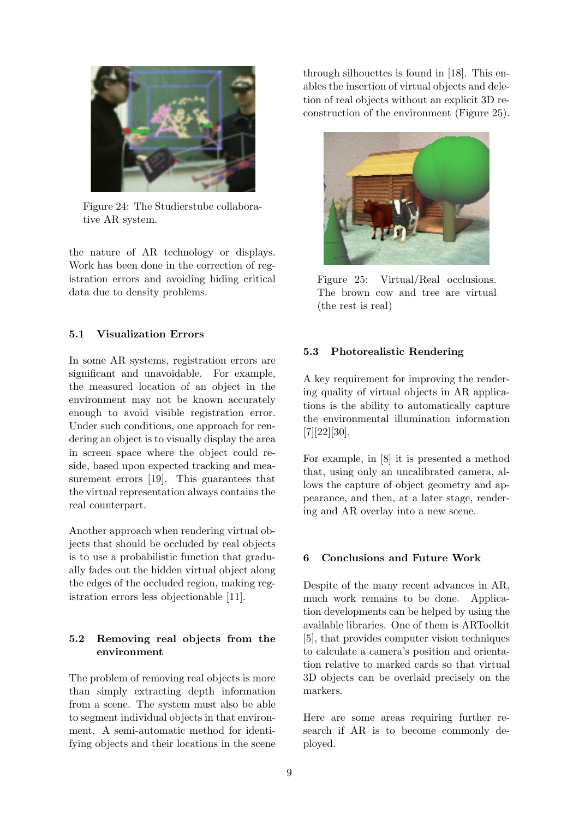

Figure 24: The Studierstube collaborative AR system.

the nature of AR technology or displays. Work has been done in the correction of registration errors and avoiding hiding critical data due to density problems.

### 5.1 Visualization Errors

In some AR systems, registration errors are significant and unavoidable. For example, the measured location of an object in the environment may not be known accurately enough to avoid visible registration error. Under such conditions, one approach for rendering an object is to visually display the area in screen space where the object could reside, based upon expected tracking and measurement errors [19]. This guarantees that the virtual representation always contains the real counterpart.

Another approach when rendering virtual objects that should be occluded by real objects is to use a probabilistic function that gradually fades out the hidden virtual object along the edges of the occluded region, making registration errors less objectionable [11].

# 5.2 Removing real objects from the environment

The problem of removing real objects is more than simply extracting depth information from a scene. The system must also be able to segment individual objects in that environment. A semi-automatic method for identifying objects and their locations in the scene through silhouettes is found in [18]. This enables the insertion of virtual objects and deletion of real objects without an explicit 3D reconstruction of the environment (Figure 25).



Figure 25: Virtual/Real occlusions. The brown cow and tree are virtual (the rest is real)

## 5.3 Photorealistic Rendering

A key requirement for improving the rendering quality of virtual objects in AR applications is the ability to automatically capture the environmental illumination information [7][22][30].

For example, in [8] it is presented a method that, using only an uncalibrated camera, allows the capture of object geometry and appearance, and then, at a later stage, rendering and AR overlay into a new scene.

### 6 Conclusions and Future Work

Despite of the many recent advances in AR, much work remains to be done. Application developments can be helped by using the available libraries. One of them is ARToolkit [5], that provides computer vision techniques to calculate a camera's position and orientation relative to marked cards so that virtual 3D objects can be overlaid precisely on the markers.

Here are some areas requiring further research if AR is to become commonly deployed.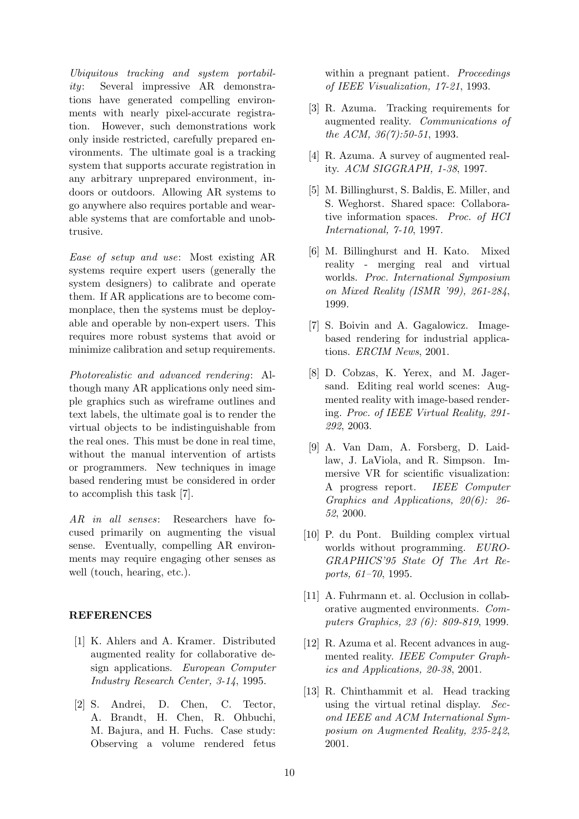Ubiquitous tracking and system portability: Several impressive AR demonstrations have generated compelling environments with nearly pixel-accurate registration. However, such demonstrations work only inside restricted, carefully prepared environments. The ultimate goal is a tracking system that supports accurate registration in any arbitrary unprepared environment, indoors or outdoors. Allowing AR systems to go anywhere also requires portable and wearable systems that are comfortable and unobtrusive.

Ease of setup and use: Most existing AR systems require expert users (generally the system designers) to calibrate and operate them. If AR applications are to become commonplace, then the systems must be deployable and operable by non-expert users. This requires more robust systems that avoid or minimize calibration and setup requirements.

Photorealistic and advanced rendering: Although many AR applications only need simple graphics such as wireframe outlines and text labels, the ultimate goal is to render the virtual objects to be indistinguishable from the real ones. This must be done in real time, without the manual intervention of artists or programmers. New techniques in image based rendering must be considered in order to accomplish this task [7].

AR in all senses: Researchers have focused primarily on augmenting the visual sense. Eventually, compelling AR environments may require engaging other senses as well (touch, hearing, etc.).

### REFERENCES

- [1] K. Ahlers and A. Kramer. Distributed augmented reality for collaborative design applications. European Computer Industry Research Center, 3-14, 1995.
- [2] S. Andrei, D. Chen, C. Tector, A. Brandt, H. Chen, R. Ohbuchi, M. Bajura, and H. Fuchs. Case study: Observing a volume rendered fetus

within a pregnant patient. *Proceedings* of IEEE Visualization, 17-21, 1993.

- [3] R. Azuma. Tracking requirements for augmented reality. Communications of the ACM, 36(7):50-51, 1993.
- [4] R. Azuma. A survey of augmented reality. ACM SIGGRAPH, 1-38, 1997.
- [5] M. Billinghurst, S. Baldis, E. Miller, and S. Weghorst. Shared space: Collaborative information spaces. Proc. of HCI International, 7-10, 1997.
- [6] M. Billinghurst and H. Kato. Mixed reality - merging real and virtual worlds. Proc. International Symposium on Mixed Reality (ISMR '99), 261-284, 1999.
- [7] S. Boivin and A. Gagalowicz. Imagebased rendering for industrial applications. ERCIM News, 2001.
- [8] D. Cobzas, K. Yerex, and M. Jagersand. Editing real world scenes: Augmented reality with image-based rendering. Proc. of IEEE Virtual Reality, 291- 292, 2003.
- [9] A. Van Dam, A. Forsberg, D. Laidlaw, J. LaViola, and R. Simpson. Immersive VR for scientific visualization: A progress report. IEEE Computer Graphics and Applications, 20(6): 26- 52, 2000.
- [10] P. du Pont. Building complex virtual worlds without programming. EURO-GRAPHICS'95 State Of The Art Reports, 61–70, 1995.
- [11] A. Fuhrmann et. al. Occlusion in collaborative augmented environments. Computers Graphics, 23 (6): 809-819, 1999.
- [12] R. Azuma et al. Recent advances in augmented reality. IEEE Computer Graphics and Applications, 20-38, 2001.
- [13] R. Chinthammit et al. Head tracking using the virtual retinal display. Second IEEE and ACM International Symposium on Augmented Reality, 235-242, 2001.